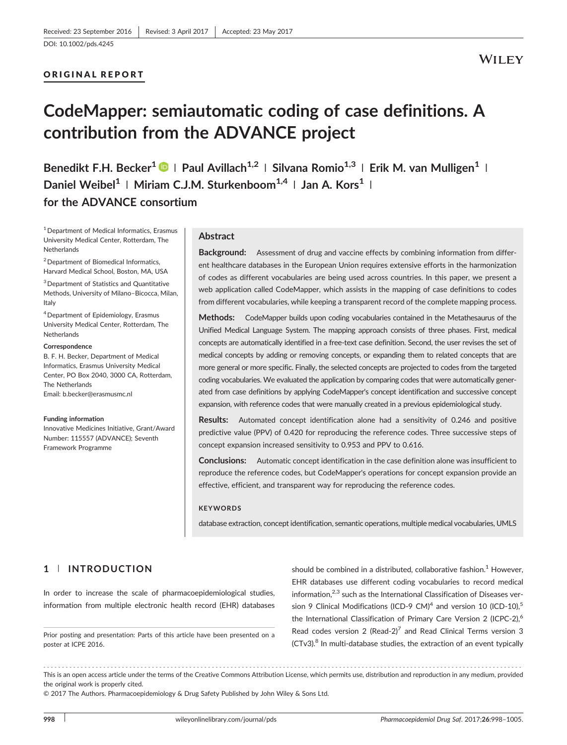[DOI: 10.1002/pds.4245](https://doi.org/10.1002/pds.4245)

## ORIGINAL REPORT

# **WILEY**

# CodeMapper: semiautomatic coding of case definitions. A contribution from the ADVANCE project

Benedikt F.H. Becker<sup>1</sup>  $\bigcirc$  | Paul Avillach<sup>1,2</sup> | Silvana Romio<sup>1,3</sup> | Erik M. van Mulligen<sup>1</sup> | Daniel Weibel<sup>1</sup> | Miriam C.J.M. Sturkenboom<sup>1,4</sup> | Jan A. Kors<sup>1</sup> | for the ADVANCE consortium

<sup>1</sup> Department of Medical Informatics, Erasmus University Medical Center, Rotterdam, The **Netherlands** 

 $2$  Department of Biomedical Informatics, Harvard Medical School, Boston, MA, USA

<sup>3</sup> Department of Statistics and Quantitative Methods, University of Milano–Bicocca, Milan, Italy

4Department of Epidemiology, Erasmus University Medical Center, Rotterdam, The **Netherlands** 

#### **Correspondence**

B. F. H. Becker, Department of Medical Informatics, Erasmus University Medical Center, PO Box 2040, 3000 CA, Rotterdam, The Netherlands Email: [b.becker@erasmusmc.nl](mailto:b.becker@erasmusmc.nl)

#### Funding information

Innovative Medicines Initiative, Grant/Award Number: 115557 (ADVANCE); Seventh Framework Programme

#### Abstract

Background: Assessment of drug and vaccine effects by combining information from different healthcare databases in the European Union requires extensive efforts in the harmonization of codes as different vocabularies are being used across countries. In this paper, we present a web application called CodeMapper, which assists in the mapping of case definitions to codes from different vocabularies, while keeping a transparent record of the complete mapping process.

Methods: CodeMapper builds upon coding vocabularies contained in the Metathesaurus of the Unified Medical Language System. The mapping approach consists of three phases. First, medical concepts are automatically identified in a free‐text case definition. Second, the user revises the set of medical concepts by adding or removing concepts, or expanding them to related concepts that are more general or more specific. Finally, the selected concepts are projected to codes from the targeted coding vocabularies. We evaluated the application by comparing codes that were automatically generated from case definitions by applying CodeMapper's concept identification and successive concept expansion, with reference codes that were manually created in a previous epidemiological study.

Results: Automated concept identification alone had a sensitivity of 0.246 and positive predictive value (PPV) of 0.420 for reproducing the reference codes. Three successive steps of concept expansion increased sensitivity to 0.953 and PPV to 0.616.

Conclusions: Automatic concept identification in the case definition alone was insufficient to reproduce the reference codes, but CodeMapper's operations for concept expansion provide an effective, efficient, and transparent way for reproducing the reference codes.

#### **KEYWORDS**

database extraction, concept identification, semantic operations, multiple medical vocabularies, UMLS

# 1 | INTRODUCTION

In order to increase the scale of pharmacoepidemiological studies, information from multiple electronic health record (EHR) databases

Prior posting and presentation: Parts of this article have been presented on a poster at ICPE 2016.

should be combined in a distributed, collaborative fashion.<sup>1</sup> However, EHR databases use different coding vocabularies to record medical information, $2,3$  such as the International Classification of Diseases version 9 Clinical Modifications (ICD-9 CM)<sup>4</sup> and version 10 (ICD-10),<sup>5</sup> the International Classification of Primary Care Version 2 (ICPC-2),<sup>6</sup> Read codes version 2 (Read-2)<sup>7</sup> and Read Clinical Terms version 3 (CTv3).<sup>8</sup> In multi-database studies, the extraction of an event typically

------------------------------------------------------------------------------------------------------------------------------- - This is an open access article under the terms of the [Creative Commons Attribution](http://creativecommons.org/licenses/by/4.0/) License, which permits use, distribution and reproduction in any medium, provided the original work is properly cited.

© 2017 The Authors. Pharmacoepidemiology & Drug Safety Published by John Wiley & Sons Ltd.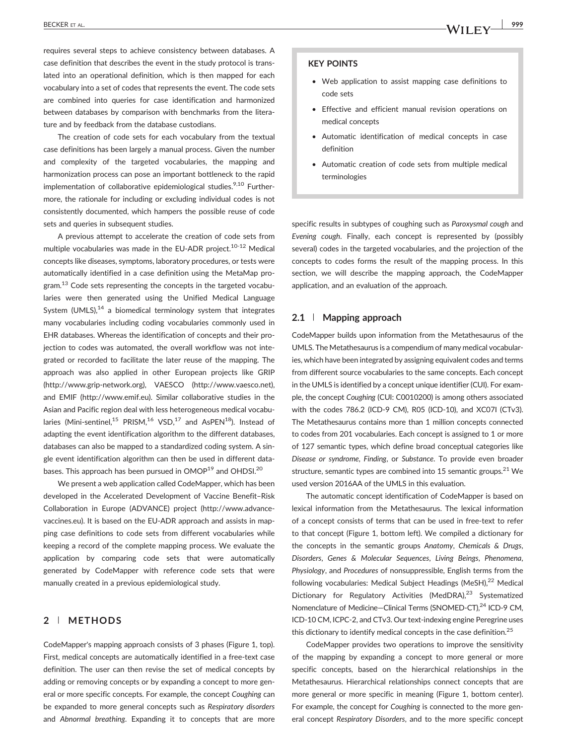BECKER ET AL.  $\sqrt{4/11}$   $\sigma$   $\sqrt{999}$ 

requires several steps to achieve consistency between databases. A case definition that describes the event in the study protocol is translated into an operational definition, which is then mapped for each vocabulary into a set of codes that represents the event. The code sets are combined into queries for case identification and harmonized between databases by comparison with benchmarks from the literature and by feedback from the database custodians.

The creation of code sets for each vocabulary from the textual case definitions has been largely a manual process. Given the number and complexity of the targeted vocabularies, the mapping and harmonization process can pose an important bottleneck to the rapid implementation of collaborative epidemiological studies.<sup>9,10</sup> Furthermore, the rationale for including or excluding individual codes is not consistently documented, which hampers the possible reuse of code sets and queries in subsequent studies.

A previous attempt to accelerate the creation of code sets from multiple vocabularies was made in the EU-ADR project.<sup>10-12</sup> Medical concepts like diseases, symptoms, laboratory procedures, or tests were automatically identified in a case definition using the MetaMap program.<sup>13</sup> Code sets representing the concepts in the targeted vocabularies were then generated using the Unified Medical Language System  $(UMLS)$ ,<sup>14</sup> a biomedical terminology system that integrates many vocabularies including coding vocabularies commonly used in EHR databases. Whereas the identification of concepts and their projection to codes was automated, the overall workflow was not integrated or recorded to facilitate the later reuse of the mapping. The approach was also applied in other European projects like GRIP ([http://www.grip](http://www.grip-network.org)‐network.org), VAESCO ([http://www.vaesco.net\)](http://www.vaesco.net), and EMIF ([http://www.emif.eu](https://doi.org/10.1007/978-94-015-9696-1)). Similar collaborative studies in the Asian and Pacific region deal with less heterogeneous medical vocabularies (Mini-sentinel,<sup>15</sup> PRISM,<sup>16</sup> VSD,<sup>17</sup> and AsPEN<sup>18</sup>). Instead of adapting the event identification algorithm to the different databases, databases can also be mapped to a standardized coding system. A single event identification algorithm can then be used in different databases. This approach has been pursued in OMOP<sup>19</sup> and OHDSI.<sup>20</sup>

We present a web application called CodeMapper, which has been developed in the Accelerated Development of Vaccine Benefit–Risk Collaboration in Europe (ADVANCE) project [\(http://www.advance](http://www.advance-vaccines.eu)‐ [vaccines.eu](http://www.advance-vaccines.eu)). It is based on the EU‐ADR approach and assists in mapping case definitions to code sets from different vocabularies while keeping a record of the complete mapping process. We evaluate the application by comparing code sets that were automatically generated by CodeMapper with reference code sets that were manually created in a previous epidemiological study.

# 2 | METHODS

CodeMapper's mapping approach consists of 3 phases (Figure 1, top). First, medical concepts are automatically identified in a free-text case definition. The user can then revise the set of medical concepts by adding or removing concepts or by expanding a concept to more general or more specific concepts. For example, the concept Coughing can be expanded to more general concepts such as Respiratory disorders and Abnormal breathing. Expanding it to concepts that are more

#### KEY POINTS

- Web application to assist mapping case definitions to code sets
- Effective and efficient manual revision operations on medical concepts
- Automatic identification of medical concepts in case definition
- Automatic creation of code sets from multiple medical terminologies

specific results in subtypes of coughing such as Paroxysmal cough and Evening cough. Finally, each concept is represented by (possibly several) codes in the targeted vocabularies, and the projection of the concepts to codes forms the result of the mapping process. In this section, we will describe the mapping approach, the CodeMapper application, and an evaluation of the approach.

#### 2.1 | Mapping approach

CodeMapper builds upon information from the Metathesaurus of the UMLS. The Metathesaurus is a compendium of many medical vocabularies, which have been integrated by assigning equivalent codes and terms from different source vocabularies to the same concepts. Each concept in the UMLS is identified by a concept unique identifier (CUI). For example, the concept Coughing (CUI: C0010200) is among others associated with the codes 786.2 (ICD‐9 CM), R05 (ICD‐10), and XC07I (CTv3). The Metathesaurus contains more than 1 million concepts connected to codes from 201 vocabularies. Each concept is assigned to 1 or more of 127 semantic types, which define broad conceptual categories like Disease or syndrome, Finding, or Substance. To provide even broader structure, semantic types are combined into 15 semantic groups. $21$  We used version 2016AA of the UMLS in this evaluation.

The automatic concept identification of CodeMapper is based on lexical information from the Metathesaurus. The lexical information of a concept consists of terms that can be used in free‐text to refer to that concept (Figure 1, bottom left). We compiled a dictionary for the concepts in the semantic groups Anatomy, Chemicals & Drugs, Disorders, Genes & Molecular Sequences, Living Beings, Phenomena, Physiology, and Procedures of nonsuppressible, English terms from the following vocabularies: Medical Subject Headings (MeSH),<sup>22</sup> Medical Dictionary for Regulatory Activities (MedDRA),<sup>23</sup> Systematized Nomenclature of Medicine–Clinical Terms (SNOMED-CT),<sup>24</sup> ICD-9 CM, ICD-10 CM, ICPC-2, and CTv3. Our text-indexing engine Peregrine uses this dictionary to identify medical concepts in the case definition.<sup>25</sup>

CodeMapper provides two operations to improve the sensitivity of the mapping by expanding a concept to more general or more specific concepts, based on the hierarchical relationships in the Metathesaurus. Hierarchical relationships connect concepts that are more general or more specific in meaning (Figure 1, bottom center). For example, the concept for Coughing is connected to the more general concept Respiratory Disorders, and to the more specific concept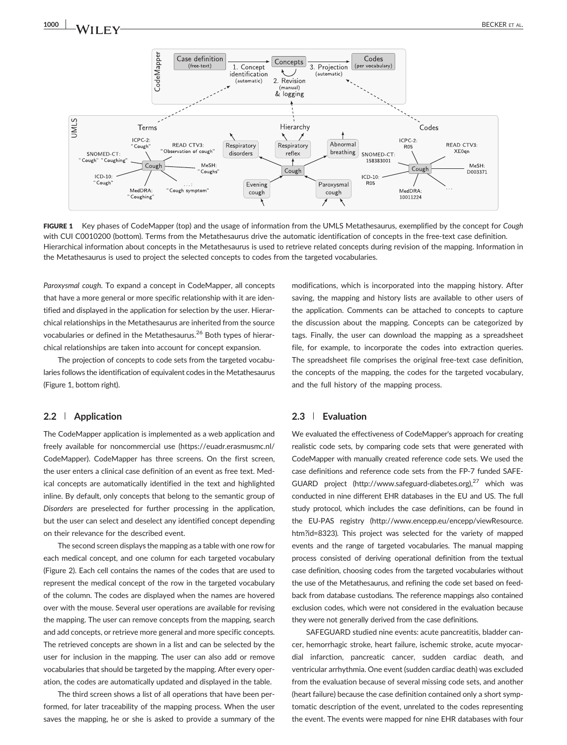1000 **1 VALUE TAL.** BECKER ET AL.



FIGURE 1 Key phases of CodeMapper (top) and the usage of information from the UMLS Metathesaurus, exemplified by the concept for Cough with CUI C0010200 (bottom). Terms from the Metathesaurus drive the automatic identification of concepts in the free-text case definition. Hierarchical information about concepts in the Metathesaurus is used to retrieve related concepts during revision of the mapping. Information in the Metathesaurus is used to project the selected concepts to codes from the targeted vocabularies.

Paroxysmal cough. To expand a concept in CodeMapper, all concepts that have a more general or more specific relationship with it are identified and displayed in the application for selection by the user. Hierarchical relationships in the Metathesaurus are inherited from the source vocabularies or defined in the Metathesaurus.<sup>26</sup> Both types of hierarchical relationships are taken into account for concept expansion.

The projection of concepts to code sets from the targeted vocabularies follows the identification of equivalent codes in the Metathesaurus (Figure 1, bottom right).

#### 2.2 | Application

The CodeMapper application is implemented as a web application and freely available for noncommercial use ([https://euadr.erasmusmc.nl/](https://euadr.erasmusmc.nl/CodeMapper) [CodeMapper](https://euadr.erasmusmc.nl/CodeMapper)). CodeMapper has three screens. On the first screen, the user enters a clinical case definition of an event as free text. Medical concepts are automatically identified in the text and highlighted inline. By default, only concepts that belong to the semantic group of Disorders are preselected for further processing in the application, but the user can select and deselect any identified concept depending on their relevance for the described event.

The second screen displays the mapping as a table with one row for each medical concept, and one column for each targeted vocabulary (Figure 2). Each cell contains the names of the codes that are used to represent the medical concept of the row in the targeted vocabulary of the column. The codes are displayed when the names are hovered over with the mouse. Several user operations are available for revising the mapping. The user can remove concepts from the mapping, search and add concepts, or retrieve more general and more specific concepts. The retrieved concepts are shown in a list and can be selected by the user for inclusion in the mapping. The user can also add or remove vocabularies that should be targeted by the mapping. After every operation, the codes are automatically updated and displayed in the table.

The third screen shows a list of all operations that have been performed, for later traceability of the mapping process. When the user saves the mapping, he or she is asked to provide a summary of the modifications, which is incorporated into the mapping history. After saving, the mapping and history lists are available to other users of the application. Comments can be attached to concepts to capture the discussion about the mapping. Concepts can be categorized by tags. Finally, the user can download the mapping as a spreadsheet file, for example, to incorporate the codes into extraction queries. The spreadsheet file comprises the original free-text case definition, the concepts of the mapping, the codes for the targeted vocabulary, and the full history of the mapping process.

#### 2.3 | Evaluation

We evaluated the effectiveness of CodeMapper's approach for creating realistic code sets, by comparing code sets that were generated with CodeMapper with manually created reference code sets. We used the case definitions and reference code sets from the FP‐7 funded SAFEGUARD project ([http://www.safeguard](http://www.safeguard-diabetes.org)-diabetes.org),<sup>27</sup> which was conducted in nine different EHR databases in the EU and US. The full study protocol, which includes the case definitions, can be found in the EU‐PAS registry ([http://www.encepp.eu/encepp/viewResource.](http://www.encepp.eu/encepp/viewResource.htm?id=8323) [htm?id=8323](http://www.encepp.eu/encepp/viewResource.htm?id=8323)). This project was selected for the variety of mapped events and the range of targeted vocabularies. The manual mapping process consisted of deriving operational definition from the textual case definition, choosing codes from the targeted vocabularies without the use of the Metathesaurus, and refining the code set based on feedback from database custodians. The reference mappings also contained exclusion codes, which were not considered in the evaluation because they were not generally derived from the case definitions.

SAFEGUARD studied nine events: acute pancreatitis, bladder cancer, hemorrhagic stroke, heart failure, ischemic stroke, acute myocardial infarction, pancreatic cancer, sudden cardiac death, and ventricular arrhythmia. One event (sudden cardiac death) was excluded from the evaluation because of several missing code sets, and another (heart failure) because the case definition contained only a short symptomatic description of the event, unrelated to the codes representing the event. The events were mapped for nine EHR databases with four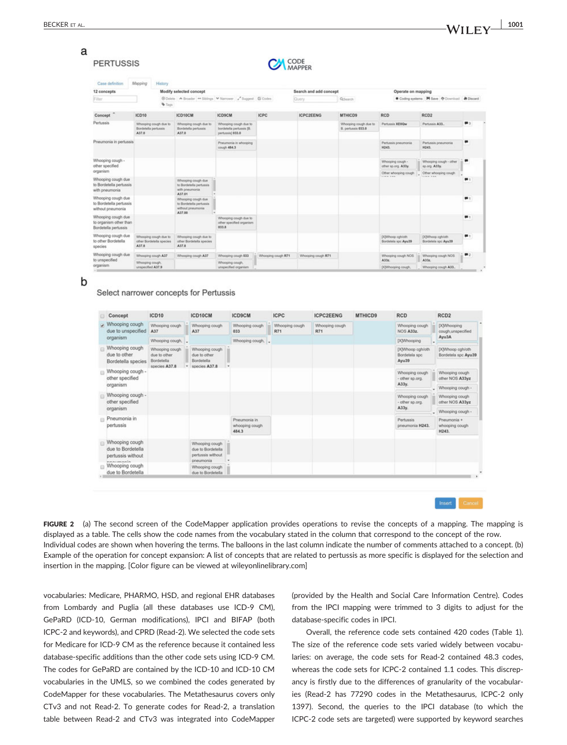#### a **PERTUSSIS**

| <b>CAN</b> CODE |
|-----------------|

| Case definition                                                      | Mapping                              | History                                           |                                                                             |                                                                       |                    |                        |                                             |                                           |                                                 |                   |
|----------------------------------------------------------------------|--------------------------------------|---------------------------------------------------|-----------------------------------------------------------------------------|-----------------------------------------------------------------------|--------------------|------------------------|---------------------------------------------|-------------------------------------------|-------------------------------------------------|-------------------|
| 12 concepts                                                          |                                      |                                                   | Modify selected concept                                                     |                                                                       |                    | Search and add concept |                                             | Operate on mapping                        |                                                 |                   |
| Filter                                                               |                                      | <b>W</b> Tags                                     |                                                                             | @ Delete A Broader ## Siblings V Namower 2" Support (S Codes          |                    | Query                  | Q.Search                                    |                                           | Coding systems M Save @ Doumload & Discard      |                   |
| Concept                                                              | ICD10                                |                                                   | ICD10CM                                                                     | <b>ICD9CM</b>                                                         | <b>ICPC</b>        | <b>ICPC2EENG</b>       | MTHICD9                                     | <b>RCD</b>                                | RCD <sub>2</sub>                                |                   |
| Pertussis                                                            | Bordetella pertussis<br>A37.0        | Whooping cough due to                             | Whooping cough due to<br>Bordetella pertussis<br>A37.0                      | Whooping cough due to<br>bordetella pertussis (B.<br>pertussis) 833.0 |                    |                        | Whooping cough due to<br>B. pertussis 033.0 | Pertussis XE0Qw                           | Pertussis A33.                                  | $\blacksquare$    |
| Pneumonia in pertussis                                               |                                      |                                                   |                                                                             | Pneumonia in whoceing<br>cough 484.3                                  |                    |                        |                                             | Pertussis preumonia<br>H243.              | Pertussis pneumonia<br>H243.                    | ▬                 |
| Whooping cough -<br>other specified                                  |                                      |                                                   |                                                                             |                                                                       |                    |                        |                                             | Whooping cough -<br>other sp.org. A33y.   | Whooping cough - other<br>sp.org. A33y.         |                   |
| organism                                                             |                                      |                                                   |                                                                             |                                                                       |                    |                        |                                             | Other whooping cough<br><b>Allen Ave.</b> | Other whooping cough<br><b>Charles Card Ave</b> |                   |
| Whooping cough due<br>to Bordetella pertussis<br>with pneumonia      |                                      |                                                   | Whooping cough due<br>to Bordetella pertussis.<br>with pneumonial<br>A37.01 |                                                                       |                    |                        |                                             |                                           |                                                 |                   |
| Whooping cough due<br>to Bordetella pertussis<br>without pneumonia   |                                      |                                                   | Whooping cough due<br>to Bordetella pertussis.<br>without pneumonial        |                                                                       |                    |                        |                                             |                                           |                                                 |                   |
| Whooping cough due<br>to organism other than<br>Bordetella pertussis |                                      |                                                   | A37.00                                                                      | Whooping cough due to<br>other specified organism.<br>033.8           |                    |                        |                                             |                                           |                                                 |                   |
| Whooping cough due<br>to other Bordetella<br>species                 | A37.8                                | Whooping cough due to<br>other Bordetella species | Whooping cough due to<br>other Bordetella species<br>A37.8                  |                                                                       |                    |                        |                                             | DOWhoop cgh/oth<br>Bordetela spc Ayu39    | DOWNoop cgh/oth<br>Bordetela spc Ayu39          |                   |
| Whooping cough due                                                   |                                      | Whooping cough A37                                | Whooping cough A37                                                          | Whooping cough 033                                                    | Whooping cough R71 | Whooping cough R71     |                                             | Whooping cough NOS                        | Whooping cough NOS                              | $\P$ <sub>2</sub> |
| to unspecified<br>organism                                           | Whooping cough,<br>unspecified A37.9 |                                                   |                                                                             | Whooping cough.<br>unspecified organism                               |                    |                        |                                             | A33r<br>DOWhooping cough,                 | A33g<br>Whooping cough A33.                     |                   |

b

#### Select narrower concepts for Pertussis

| Concept                                                              | ICD10                                                         |   | ICD10CM                                                               | <b>ICD9CM</b>                           | <b>ICPC</b>           | <b>ICPC2EENG</b>      | MTHICD9 | <b>RCD</b>                                 |   | RCD <sub>2</sub>                        |
|----------------------------------------------------------------------|---------------------------------------------------------------|---|-----------------------------------------------------------------------|-----------------------------------------|-----------------------|-----------------------|---------|--------------------------------------------|---|-----------------------------------------|
| Whooping cough<br>due to unspecified                                 | Whooping cough<br>A37                                         |   | Whooping cough<br>A37                                                 | Whooping cough<br>033                   | Whooping cough<br>R71 | Whooping cough<br>R71 |         | Whooping cough<br>NOS A33z.                |   | [X]Whooping<br>cough, unspecified       |
| organism                                                             | Whooping cough.                                               |   |                                                                       | Whooping cough.                         |                       |                       |         | (X)Whooping                                |   | Ayu3A                                   |
| Whooping cough<br>due to other<br>Bordetella species                 | Whooping cough<br>due to other<br>Bordetella<br>species A37.8 | ٠ | Whooping cough<br>due to other<br>Bordetella<br>species A37.8         |                                         |                       |                       |         | [X]Whoop cgh/oth<br>Bordetela spc<br>Ayu39 |   | [X]Whoop cgh/oth<br>Bordetela spc Ayu39 |
| Whooping cough -<br>other specified<br>organism                      |                                                               |   |                                                                       |                                         |                       |                       |         | Whooping cough<br>- other sp.org.<br>A33y. |   | Whooping cough<br>other NOS A33yz       |
|                                                                      |                                                               |   |                                                                       |                                         |                       |                       |         |                                            | ٠ | Whooping cough -                        |
| Whooping cough -<br>other specified                                  |                                                               |   |                                                                       |                                         |                       |                       |         | Whooping cough<br>- other sp.org.<br>А33у. |   | Whooping cough<br>other NOS A33yz       |
| organism                                                             |                                                               |   |                                                                       |                                         |                       |                       |         |                                            |   | Whooping cough -                        |
| Pneumonia in<br>pertussis                                            |                                                               |   |                                                                       | Pneumonia in<br>whooping cough<br>484.3 |                       |                       |         | Pertussis<br>pneumonia H243.               |   | Pneumonia +<br>whooping cough<br>H243.  |
| Whooping cough<br>due to Bordetella<br>pertussis without<br>nnermann |                                                               |   | Whooping cough<br>due to Bordetella<br>pertussis without<br>pneumonia |                                         |                       |                       |         |                                            |   |                                         |
| Whooping cough<br>due to Bordetella                                  |                                                               |   | Whooping cough<br>due to Bordetella                                   |                                         |                       |                       |         |                                            |   |                                         |

Insert Cancel

FIGURE 2 (a) The second screen of the CodeMapper application provides operations to revise the concepts of a mapping. The mapping is displayed as a table. The cells show the code names from the vocabulary stated in the column that correspond to the concept of the row. Individual codes are shown when hovering the terms. The balloons in the last column indicate the number of comments attached to a concept. (b) Example of the operation for concept expansion: A list of concepts that are related to pertussis as more specific is displayed for the selection and insertion in the mapping. [Color figure can be viewed at [wileyonlinelibrary.com](http://wileyonlinelibrary.com)]

vocabularies: Medicare, PHARMO, HSD, and regional EHR databases from Lombardy and Puglia (all these databases use ICD‐9 CM), GePaRD (ICD‐10, German modifications), IPCI and BIFAP (both ICPC‐2 and keywords), and CPRD (Read‐2). We selected the code sets for Medicare for ICD‐9 CM as the reference because it contained less database‐specific additions than the other code sets using ICD‐9 CM. The codes for GePaRD are contained by the ICD‐10 and ICD‐10 CM vocabularies in the UMLS, so we combined the codes generated by CodeMapper for these vocabularies. The Metathesaurus covers only CTv3 and not Read‐2. To generate codes for Read‐2, a translation table between Read‐2 and CTv3 was integrated into CodeMapper (provided by the Health and Social Care Information Centre). Codes from the IPCI mapping were trimmed to 3 digits to adjust for the database‐specific codes in IPCI.

Overall, the reference code sets contained 420 codes (Table 1). The size of the reference code sets varied widely between vocabularies: on average, the code sets for Read‐2 contained 48.3 codes, whereas the code sets for ICPC‐2 contained 1.1 codes. This discrepancy is firstly due to the differences of granularity of the vocabularies (Read‐2 has 77290 codes in the Metathesaurus, ICPC‐2 only 1397). Second, the queries to the IPCI database (to which the ICPC‐2 code sets are targeted) were supported by keyword searches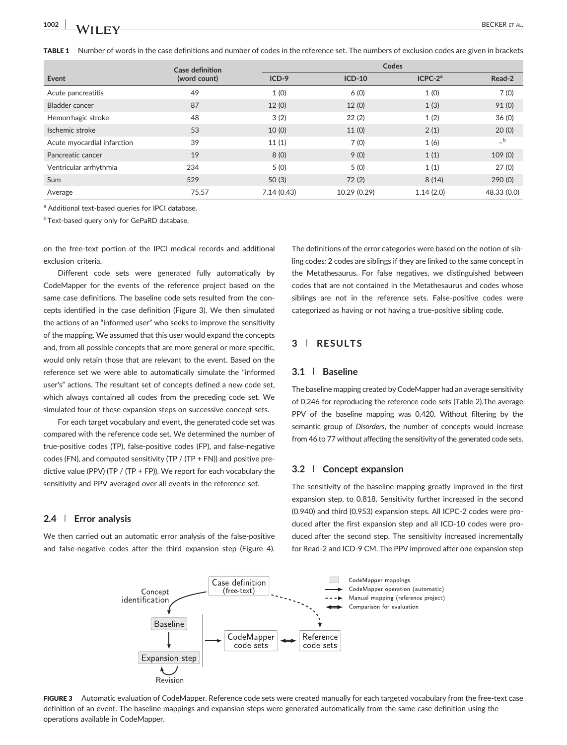TABLE 1 Number of words in the case definitions and number of codes in the reference set. The numbers of exclusion codes are given in brackets

|                             | Case definition |            | Codes        |           |             |  |  |  |  |
|-----------------------------|-----------------|------------|--------------|-----------|-------------|--|--|--|--|
| Event                       | (word count)    | $ICD-9$    | $ICD-10$     | $ICPC-2a$ | Read-2      |  |  |  |  |
| Acute pancreatitis          | 49              | 1(0)       | 6(0)         | 1(0)      | 7(0)        |  |  |  |  |
| Bladder cancer              | 87              | 12(0)      | 12(0)        | 1(3)      | 91(0)       |  |  |  |  |
| Hemorrhagic stroke          | 48              | 3(2)       | 22(2)        | 1(2)      | 36(0)       |  |  |  |  |
| Ischemic stroke             | 53              | 10(0)      | 11(0)        | 2(1)      | 20(0)       |  |  |  |  |
| Acute myocardial infarction | 39              | 11(1)      | 7(0)         | 1(6)      | $-$ b       |  |  |  |  |
| Pancreatic cancer           | 19              | 8(0)       | 9(0)         | 1(1)      | 109(0)      |  |  |  |  |
| Ventricular arrhythmia      | 234             | 5(0)       | 5(0)         | 1(1)      | 27(0)       |  |  |  |  |
| Sum                         | 529             | 50(3)      | 72(2)        | 8(14)     | 290(0)      |  |  |  |  |
| Average                     | 75.57           | 7.14(0.43) | 10.29 (0.29) | 1.14(2.0) | 48.33 (0.0) |  |  |  |  |

a Additional text-based queries for IPCI database.

**bText-based query only for GePaRD database.** 

on the free‐text portion of the IPCI medical records and additional exclusion criteria.

Different code sets were generated fully automatically by CodeMapper for the events of the reference project based on the same case definitions. The baseline code sets resulted from the concepts identified in the case definition (Figure 3). We then simulated the actions of an "informed user" who seeks to improve the sensitivity of the mapping. We assumed that this user would expand the concepts and, from all possible concepts that are more general or more specific, would only retain those that are relevant to the event. Based on the reference set we were able to automatically simulate the "informed user's" actions. The resultant set of concepts defined a new code set, which always contained all codes from the preceding code set. We simulated four of these expansion steps on successive concept sets.

For each target vocabulary and event, the generated code set was compared with the reference code set. We determined the number of true‐positive codes (TP), false‐positive codes (FP), and false‐negative codes (FN), and computed sensitivity (TP / (TP + FN)) and positive predictive value (PPV) (TP / (TP + FP)). We report for each vocabulary the sensitivity and PPV averaged over all events in the reference set.

## 2.4 | Error analysis

We then carried out an automatic error analysis of the false-positive and false-negative codes after the third expansion step (Figure 4). The definitions of the error categories were based on the notion of sibling codes: 2 codes are siblings if they are linked to the same concept in the Metathesaurus. For false negatives, we distinguished between codes that are not contained in the Metathesaurus and codes whose siblings are not in the reference sets. False-positive codes were categorized as having or not having a true‐positive sibling code.

# 3 | RESULTS

#### 3.1 | Baseline

The baseline mapping created by CodeMapper had an average sensitivity of 0.246 for reproducing the reference code sets (Table 2).The average PPV of the baseline mapping was 0.420. Without filtering by the semantic group of Disorders, the number of concepts would increase from 46 to 77 without affecting the sensitivity of the generated code sets.

## 3.2 | Concept expansion

The sensitivity of the baseline mapping greatly improved in the first expansion step, to 0.818. Sensitivity further increased in the second (0.940) and third (0.953) expansion steps. All ICPC‐2 codes were produced after the first expansion step and all ICD‐10 codes were produced after the second step. The sensitivity increased incrementally for Read‐2 and ICD‐9 CM. The PPV improved after one expansion step



FIGURE 3 Automatic evaluation of CodeMapper. Reference code sets were created manually for each targeted vocabulary from the free-text case definition of an event. The baseline mappings and expansion steps were generated automatically from the same case definition using the operations available in CodeMapper.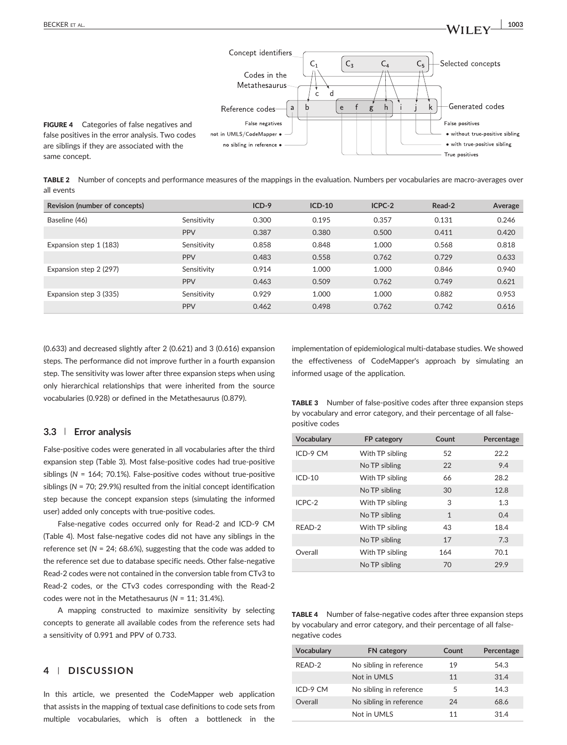

TABLE 2 Number of concepts and performance measures of the mappings in the evaluation. Numbers per vocabularies are macro-averages over all events

| Revision (number of concepts) |             | $ICD-9$ | $ICD-10$ | ICPC-2 | Read-2 | Average |
|-------------------------------|-------------|---------|----------|--------|--------|---------|
| Baseline (46)                 | Sensitivity | 0.300   | 0.195    | 0.357  | 0.131  | 0.246   |
|                               | <b>PPV</b>  | 0.387   | 0.380    | 0.500  | 0.411  | 0.420   |
| Expansion step 1 (183)        | Sensitivity | 0.858   | 0.848    | 1.000  | 0.568  | 0.818   |
|                               | <b>PPV</b>  | 0.483   | 0.558    | 0.762  | 0.729  | 0.633   |
| Expansion step 2 (297)        | Sensitivity | 0.914   | 1.000    | 1.000  | 0.846  | 0.940   |
|                               | <b>PPV</b>  | 0.463   | 0.509    | 0.762  | 0.749  | 0.621   |
| Expansion step 3 (335)        | Sensitivity | 0.929   | 1.000    | 1.000  | 0.882  | 0.953   |
|                               | <b>PPV</b>  | 0.462   | 0.498    | 0.762  | 0.742  | 0.616   |

(0.633) and decreased slightly after 2 (0.621) and 3 (0.616) expansion steps. The performance did not improve further in a fourth expansion step. The sensitivity was lower after three expansion steps when using only hierarchical relationships that were inherited from the source vocabularies (0.928) or defined in the Metathesaurus (0.879).

## 3.3 | Error analysis

False‐positive codes were generated in all vocabularies after the third expansion step (Table 3). Most false‐positive codes had true‐positive siblings ( $N = 164$ ; 70.1%). False-positive codes without true-positive siblings ( $N = 70$ ; 29.9%) resulted from the initial concept identification step because the concept expansion steps (simulating the informed user) added only concepts with true‐positive codes.

False‐negative codes occurred only for Read‐2 and ICD‐9 CM (Table 4). Most false‐negative codes did not have any siblings in the reference set ( $N = 24$ ; 68.6%), suggesting that the code was added to the reference set due to database specific needs. Other false-negative Read‐2 codes were not contained in the conversion table from CTv3 to Read‐2 codes, or the CTv3 codes corresponding with the Read‐2 codes were not in the Metathesaurus ( $N = 11$ ; 31.4%).

A mapping constructed to maximize sensitivity by selecting concepts to generate all available codes from the reference sets had a sensitivity of 0.991 and PPV of 0.733.

# 4 | DISCUSSION

In this article, we presented the CodeMapper web application that assists in the mapping of textual case definitions to code sets from multiple vocabularies, which is often a bottleneck in the

implementation of epidemiological multi‐database studies. We showed the effectiveness of CodeMapper's approach by simulating an informed usage of the application.

|                | <b>TABLE 3</b> Number of false-positive codes after three expansion steps |
|----------------|---------------------------------------------------------------------------|
|                | by vocabulary and error category, and their percentage of all false-      |
| positive codes |                                                                           |

| Vocabulary | FP category     | Count        | Percentage |
|------------|-----------------|--------------|------------|
| ICD-9 CM   | With TP sibling | 52           | 22.2       |
|            | No TP sibling   | 22           | 9.4        |
| $ICD-10$   | With TP sibling | 66           | 28.2       |
|            | No TP sibling   | 30           | 12.8       |
| ICPC-2     | With TP sibling | 3            | 1.3        |
|            | No TP sibling   | $\mathbf{1}$ | 0.4        |
| READ-2     | With TP sibling | 43           | 18.4       |
|            | No TP sibling   | 17           | 7.3        |
| Overall    | With TP sibling | 164          | 70.1       |
|            | No TP sibling   | 70           | 29.9       |

TABLE 4 Number of false-negative codes after three expansion steps by vocabulary and error category, and their percentage of all false‐ negative codes

| Vocabulary | <b>FN</b> category      | Count | Percentage |
|------------|-------------------------|-------|------------|
| RFAD-2     | No sibling in reference | 19    | 54.3       |
|            | Not in UMLS             | 11    | 31.4       |
| ICD-9 CM   | No sibling in reference | 5     | 14.3       |
| Overall    | No sibling in reference | 24    | 68.6       |
|            | Not in UMLS             | 11    | 31.4       |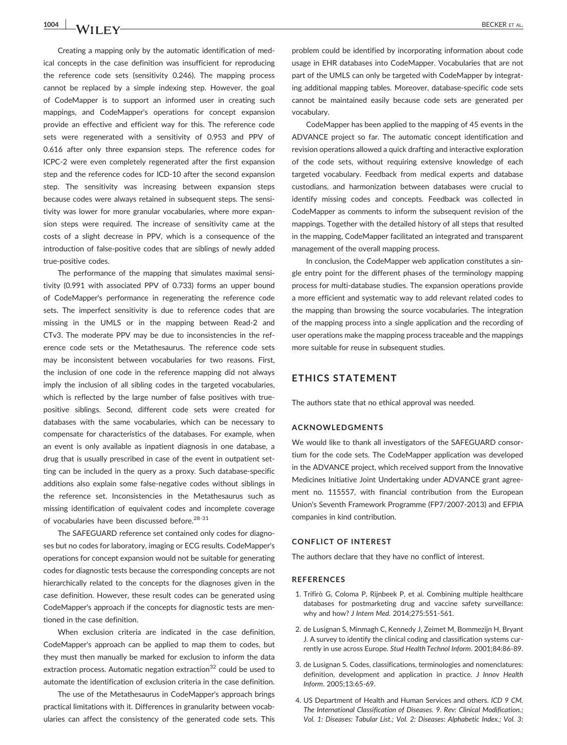Creating a mapping only by the automatic identification of medical concepts in the case definition was insufficient for reproducing the reference code sets (sensitivity 0.246). The mapping process cannot be replaced by a simple indexing step. However, the goal of CodeMapper is to support an informed user in creating such mappings, and CodeMapper's operations for concept expansion provide an effective and efficient way for this. The reference code sets were regenerated with a sensitivity of 0.953 and PPV of 0.616 after only three expansion steps. The reference codes for ICPC‐2 were even completely regenerated after the first expansion step and the reference codes for ICD‐10 after the second expansion step. The sensitivity was increasing between expansion steps because codes were always retained in subsequent steps. The sensitivity was lower for more granular vocabularies, where more expansion steps were required. The increase of sensitivity came at the costs of a slight decrease in PPV, which is a consequence of the introduction of false‐positive codes that are siblings of newly added true‐positive codes.

The performance of the mapping that simulates maximal sensitivity (0.991 with associated PPV of 0.733) forms an upper bound of CodeMapper's performance in regenerating the reference code sets. The imperfect sensitivity is due to reference codes that are missing in the UMLS or in the mapping between Read‐2 and CTv3. The moderate PPV may be due to inconsistencies in the reference code sets or the Metathesaurus. The reference code sets may be inconsistent between vocabularies for two reasons. First, the inclusion of one code in the reference mapping did not always imply the inclusion of all sibling codes in the targeted vocabularies, which is reflected by the large number of false positives with truepositive siblings. Second, different code sets were created for databases with the same vocabularies, which can be necessary to compensate for characteristics of the databases. For example, when an event is only available as inpatient diagnosis in one database, a drug that is usually prescribed in case of the event in outpatient setting can be included in the query as a proxy. Such database‐specific additions also explain some false‐negative codes without siblings in the reference set. Inconsistencies in the Metathesaurus such as missing identification of equivalent codes and incomplete coverage of vocabularies have been discussed before.<sup>28-31</sup>

The SAFEGUARD reference set contained only codes for diagnoses but no codes for laboratory, imaging or ECG results. CodeMapper's operations for concept expansion would not be suitable for generating codes for diagnostic tests because the corresponding concepts are not hierarchically related to the concepts for the diagnoses given in the case definition. However, these result codes can be generated using CodeMapper's approach if the concepts for diagnostic tests are mentioned in the case definition.

When exclusion criteria are indicated in the case definition, CodeMapper's approach can be applied to map them to codes, but they must then manually be marked for exclusion to inform the data extraction process. Automatic negation extraction $32$  could be used to automate the identification of exclusion criteria in the case definition.

The use of the Metathesaurus in CodeMapper's approach brings practical limitations with it. Differences in granularity between vocabularies can affect the consistency of the generated code sets. This problem could be identified by incorporating information about code usage in EHR databases into CodeMapper. Vocabularies that are not part of the UMLS can only be targeted with CodeMapper by integrating additional mapping tables. Moreover, database‐specific code sets cannot be maintained easily because code sets are generated per vocabulary.

CodeMapper has been applied to the mapping of 45 events in the ADVANCE project so far. The automatic concept identification and revision operations allowed a quick drafting and interactive exploration of the code sets, without requiring extensive knowledge of each targeted vocabulary. Feedback from medical experts and database custodians, and harmonization between databases were crucial to identify missing codes and concepts. Feedback was collected in CodeMapper as comments to inform the subsequent revision of the mappings. Together with the detailed history of all steps that resulted in the mapping, CodeMapper facilitated an integrated and transparent management of the overall mapping process.

In conclusion, the CodeMapper web application constitutes a single entry point for the different phases of the terminology mapping process for multi‐database studies. The expansion operations provide a more efficient and systematic way to add relevant related codes to the mapping than browsing the source vocabularies. The integration of the mapping process into a single application and the recording of user operations make the mapping process traceable and the mappings more suitable for reuse in subsequent studies.

# ETHICS STATEMENT

The authors state that no ethical approval was needed.

#### ACKNOWLEDGMENTS

We would like to thank all investigators of the SAFEGUARD consortium for the code sets. The CodeMapper application was developed in the ADVANCE project, which received support from the Innovative Medicines Initiative Joint Undertaking under ADVANCE grant agreement no. 115557, with financial contribution from the European Union's Seventh Framework Programme (FP7/2007‐2013) and EFPIA companies in kind contribution.

#### CONFLICT OF INTEREST

The authors declare that they have no conflict of interest.

#### REFERENCES

- 1. Trifirò G, Coloma P, Rijnbeek P, et al. Combining multiple healthcare databases for postmarketing drug and vaccine safety surveillance: why and how? J Intern Med. 2014;275:551‐561.
- 2. de Lusignan S, Minmagh C, Kennedy J, Zeimet M, Bommezijn H, Bryant J. A survey to identify the clinical coding and classification systems currently in use across Europe. Stud Health Technol Inform. 2001;84:86‐89.
- 3. de Lusignan S. Codes, classifications, terminologies and nomenclatures: definition, development and application in practice. J Innov Health Inform. 2005;13:65‐69.
- 4. US Department of Health and Human Services and others. ICD 9 CM. The International Classification of Diseases. 9. Rev: Clinical Modification.; Vol. 1: Diseases: Tabular List.; Vol. 2: Diseases: Alphabetic Index.; Vol. 3: